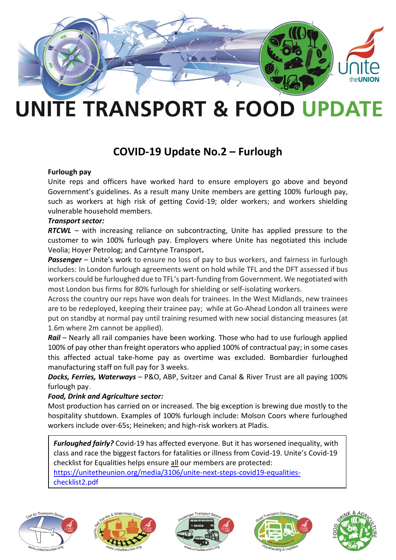

# **UNITE TRANSPORT & FOOD UPDATE**

## **COVID-19 Update No.2 – Furlough**

#### **Furlough pay**

Unite reps and officers have worked hard to ensure employers go above and beyond Government's guidelines. As a result many Unite members are getting 100% furlough pay, such as workers at high risk of getting Covid-19; older workers; and workers shielding vulnerable household members.

#### *Transport sector:*

*RTCWL –* with increasing reliance on subcontracting, Unite has applied pressure to the customer to win 100% furlough pay. Employers where Unite has negotiated this include Veolia; Hoyer Petrolog; and Carntyne Transport**.** 

**Passenger** – Unite's work to ensure no loss of pay to bus workers, and fairness in furlough includes: In London furlough agreements went on hold while TFL and the DFT assessed if bus workers could be furloughed due to TFL's part-funding from Government. We negotiated with most London bus firms for 80% furlough for shielding or self-isolating workers.

Across the country our reps have won deals for trainees. In the West Midlands, new trainees are to be redeployed, keeping their trainee pay; while at Go-Ahead London all trainees were put on standby at normal pay until training resumed with new social distancing measures (at 1.6m where 2m cannot be applied).

*Rail* – Nearly all rail companies have been working. Those who had to use furlough applied 100% of pay other than freight operators who applied 100% of contractual pay; in some cases this affected actual take-home pay as overtime was excluded. Bombardier furloughed manufacturing staff on full pay for 3 weeks.

*Docks, Ferries, Waterways* – P&O, ABP, Svitzer and Canal & River Trust are all paying 100% furlough pay.

#### *Food, Drink and Agriculture sector:*

Most production has carried on or increased. The big exception is brewing due mostly to the hospitality shutdown. Examples of 100% furlough include: Molson Coors where furloughed workers include over-65s; Heineken; and high-risk workers at Pladis.

*Furloughed fairly?* Covid-19 has affected everyone. But it has worsened inequality, with class and race the biggest factors for fatalities or illness from Covid-19. Unite's Covid-19 checklist for Equalities helps ensure all our members are protected:

[https://unitetheunion.org/media/3106/unite-next-steps-covid19-equalities-](https://unitetheunion.org/media/3106/unite-next-steps-covid19-equalities-checklist2.pdf)

[checklist2.pdf](https://unitetheunion.org/media/3106/unite-next-steps-covid19-equalities-checklist2.pdf)